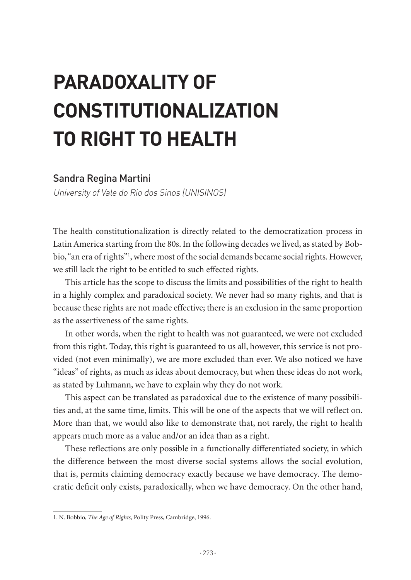# **PARADOXALITY OF CONSTITUTIONALIZATION TO RIGHT TO HEALTH**

#### Sandra Regina Martini

University of Vale do Rio dos Sinos (UNISINOS)

The health constitutionalization is directly related to the democratization process in Latin America starting from the 80s. In the following decades we lived, as stated by Bobbio, "an era of rights"1 , where most of the social demands became social rights. However, we still lack the right to be entitled to such effected rights.

This article has the scope to discuss the limits and possibilities of the right to health in a highly complex and paradoxical society. We never had so many rights, and that is because these rights are not made effective; there is an exclusion in the same proportion as the assertiveness of the same rights.

In other words, when the right to health was not guaranteed, we were not excluded from this right. Today, this right is guaranteed to us all, however, this service is not provided (not even minimally), we are more excluded than ever. We also noticed we have "ideas" of rights, as much as ideas about democracy, but when these ideas do not work, as stated by Luhmann, we have to explain why they do not work.

This aspect can be translated as paradoxical due to the existence of many possibilities and, at the same time, limits. This will be one of the aspects that we will reflect on. More than that, we would also like to demonstrate that, not rarely, the right to health appears much more as a value and/or an idea than as a right.

These reflections are only possible in a functionally differentiated society, in which the difference between the most diverse social systems allows the social evolution, that is, permits claiming democracy exactly because we have democracy. The democratic deficit only exists, paradoxically, when we have democracy. On the other hand,

<sup>1.</sup> N. Bobbio, *The Age of Rights,* Polity Press, Cambridge, 1996.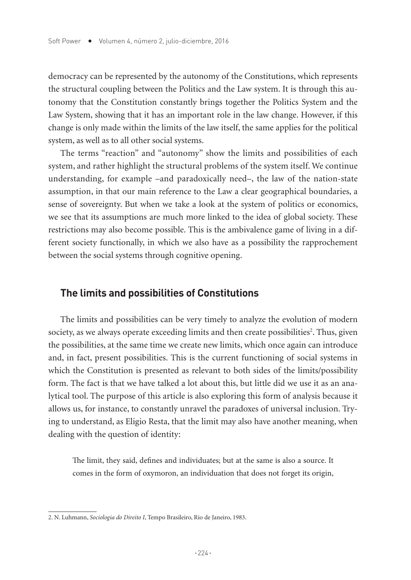democracy can be represented by the autonomy of the Constitutions, which represents the structural coupling between the Politics and the Law system. It is through this autonomy that the Constitution constantly brings together the Politics System and the Law System, showing that it has an important role in the law change. However, if this change is only made within the limits of the law itself, the same applies for the political system, as well as to all other social systems.

The terms "reaction" and "autonomy" show the limits and possibilities of each system, and rather highlight the structural problems of the system itself. We continue understanding, for example –and paradoxically need–, the law of the nation-state assumption, in that our main reference to the Law a clear geographical boundaries, a sense of sovereignty. But when we take a look at the system of politics or economics, we see that its assumptions are much more linked to the idea of global society. These restrictions may also become possible. This is the ambivalence game of living in a different society functionally, in which we also have as a possibility the rapprochement between the social systems through cognitive opening.

# **The limits and possibilities of Constitutions**

The limits and possibilities can be very timely to analyze the evolution of modern society, as we always operate exceeding limits and then create possibilities<sup>2</sup>. Thus, given the possibilities, at the same time we create new limits, which once again can introduce and, in fact, present possibilities. This is the current functioning of social systems in which the Constitution is presented as relevant to both sides of the limits/possibility form. The fact is that we have talked a lot about this, but little did we use it as an analytical tool. The purpose of this article is also exploring this form of analysis because it allows us, for instance, to constantly unravel the paradoxes of universal inclusion. Trying to understand, as Eligio Resta, that the limit may also have another meaning, when dealing with the question of identity:

The limit, they said, defines and individuates; but at the same is also a source. It comes in the form of oxymoron, an individuation that does not forget its origin,

<sup>2.</sup> N. Luhmann, *Sociologia do Direito I*, Tempo Brasileiro, Rio de Janeiro, 1983.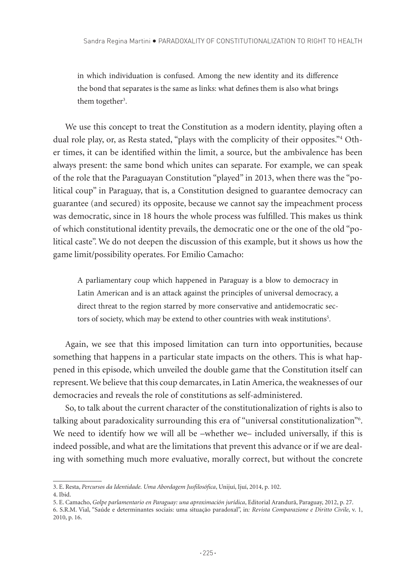in which individuation is confused. Among the new identity and its difference the bond that separates is the same as links: what defines them is also what brings them together<sup>3</sup>.

We use this concept to treat the Constitution as a modern identity, playing often a dual role play, or, as Resta stated, "plays with the complicity of their opposites."4 Other times, it can be identified within the limit, a source, but the ambivalence has been always present: the same bond which unites can separate. For example, we can speak of the role that the Paraguayan Constitution "played" in 2013, when there was the "political coup" in Paraguay, that is, a Constitution designed to guarantee democracy can guarantee (and secured) its opposite, because we cannot say the impeachment process was democratic, since in 18 hours the whole process was fulfilled. This makes us think of which constitutional identity prevails, the democratic one or the one of the old "political caste". We do not deepen the discussion of this example, but it shows us how the game limit/possibility operates. For Emilio Camacho:

A parliamentary coup which happened in Paraguay is a blow to democracy in Latin American and is an attack against the principles of universal democracy, a direct threat to the region starred by more conservative and antidemocratic sectors of society, which may be extend to other countries with weak institutions<sup>5</sup>.

Again, we see that this imposed limitation can turn into opportunities, because something that happens in a particular state impacts on the others. This is what happened in this episode, which unveiled the double game that the Constitution itself can represent. We believe that this coup demarcates, in Latin America, the weaknesses of our democracies and reveals the role of constitutions as self-administered.

So, to talk about the current character of the constitutionalization of rights is also to talking about paradoxicality surrounding this era of "universal constitutionalization"<sup>6</sup>. We need to identify how we will all be –whether we– included universally, if this is indeed possible, and what are the limitations that prevent this advance or if we are dealing with something much more evaluative, morally correct, but without the concrete

<sup>3.</sup> E. Resta, *Percursos da Identidade. Uma Abordagem Jusfilosófica*, Unijuí, Ijuí, 2014, p. 102.

<sup>4.</sup> Ibid.

<sup>5.</sup> E. Camacho, *Golpe parlamentario en Paraguay: una aproximación jurídica*, Editorial Arandurã, Paraguay, 2012, p. 27.

<sup>6.</sup> S.R.M. Vial, "Saúde e determinantes sociais: uma situação paradoxal", in*: Revista Comparazione e Diritto Civile*, v. 1, 2010, p. 16.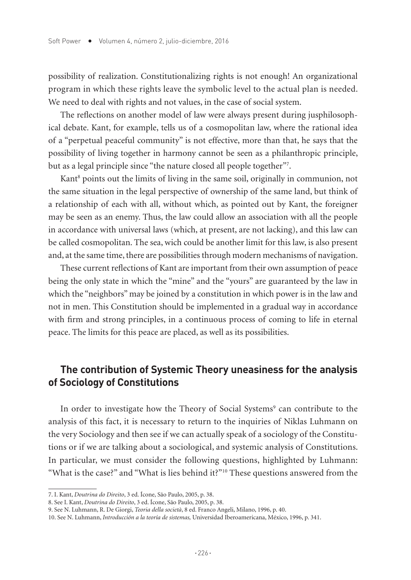possibility of realization. Constitutionalizing rights is not enough! An organizational program in which these rights leave the symbolic level to the actual plan is needed. We need to deal with rights and not values, in the case of social system.

The reflections on another model of law were always present during jusphilosophical debate. Kant, for example, tells us of a cosmopolitan law, where the rational idea of a "perpetual peaceful community" is not effective, more than that, he says that the possibility of living together in harmony cannot be seen as a philanthropic principle, but as a legal principle since "the nature closed all people together"7 .

Kant<sup>8</sup> points out the limits of living in the same soil, originally in communion, not the same situation in the legal perspective of ownership of the same land, but think of a relationship of each with all, without which, as pointed out by Kant, the foreigner may be seen as an enemy. Thus, the law could allow an association with all the people in accordance with universal laws (which, at present, are not lacking), and this law can be called cosmopolitan. The sea, wich could be another limit for this law, is also present and, at the same time, there are possibilities through modern mechanisms of navigation.

These current reflections of Kant are important from their own assumption of peace being the only state in which the "mine" and the "yours" are guaranteed by the law in which the "neighbors" may be joined by a constitution in which power is in the law and not in men. This Constitution should be implemented in a gradual way in accordance with firm and strong principles, in a continuous process of coming to life in eternal peace. The limits for this peace are placed, as well as its possibilities.

# **The contribution of Systemic Theory uneasiness for the analysis of Sociology of Constitutions**

In order to investigate how the Theory of Social Systems<sup>9</sup> can contribute to the analysis of this fact, it is necessary to return to the inquiries of Niklas Luhmann on the very Sociology and then see if we can actually speak of a sociology of the Constitutions or if we are talking about a sociological, and systemic analysis of Constitutions. In particular, we must consider the following questions, highlighted by Luhmann: "What is the case?" and "What is lies behind it?"10 These questions answered from the

<sup>7.</sup> I. Kant, *Doutrina do Direito*, 3 ed. Ícone, São Paulo, 2005, p. 38.

<sup>8.</sup> See I. Kant, *Doutrina do Direito*, 3 ed. Ícone, São Paulo, 2005, p. 38.

<sup>9.</sup> See N. Luhmann, R. De Giorgi, *Teoria della società*, 8 ed. Franco Angeli, Milano, 1996, p. 40.

<sup>10.</sup> See N. Luhmann, *Introducción a la teoría de sistemas,* Universidad Iberoamericana, México, 1996, p. 341.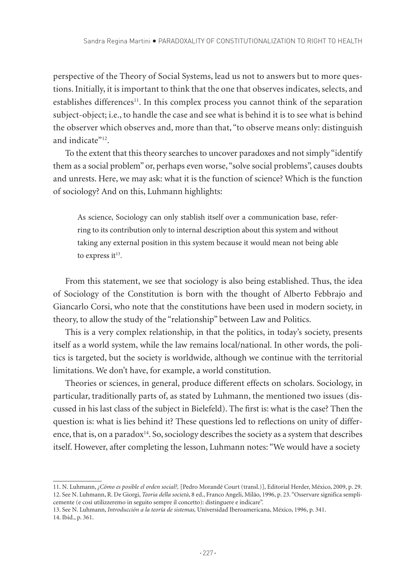perspective of the Theory of Social Systems, lead us not to answers but to more questions. Initially, it is important to think that the one that observes indicates, selects, and establishes differences<sup>11</sup>. In this complex process you cannot think of the separation subject-object; i.e., to handle the case and see what is behind it is to see what is behind the observer which observes and, more than that, "to observe means only: distinguish and indicate"<sup>12</sup>.

To the extent that this theory searches to uncover paradoxes and not simply "identify them as a social problem" or, perhaps even worse, "solve social problems", causes doubts and unrests. Here, we may ask: what it is the function of science? Which is the function of sociology? And on this, Luhmann highlights:

As science, Sociology can only stablish itself over a communication base, referring to its contribution only to internal description about this system and without taking any external position in this system because it would mean not being able to express it $13$ .

From this statement, we see that sociology is also being established. Thus, the idea of Sociology of the Constitution is born with the thought of Alberto Febbrajo and Giancarlo Corsi, who note that the constitutions have been used in modern society, in theory, to allow the study of the "relationship" between Law and Politics.

This is a very complex relationship, in that the politics, in today's society, presents itself as a world system, while the law remains local/national. In other words, the politics is targeted, but the society is worldwide, although we continue with the territorial limitations. We don't have, for example, a world constitution.

Theories or sciences, in general, produce different effects on scholars. Sociology, in particular, traditionally parts of, as stated by Luhmann, the mentioned two issues (discussed in his last class of the subject in Bielefeld). The first is: what is the case? Then the question is: what is lies behind it? These questions led to reflections on unity of difference, that is, on a paradox<sup>14</sup>. So, sociology describes the society as a system that describes itself. However, after completing the lesson, Luhmann notes: "We would have a society

<sup>11.</sup> N. Luhmann, *¿Cómo es posible el orden social?,* [Pedro Morandé Court (transl.)], Editorial Herder, México, 2009, p. 29. 12. See N. Luhmann, R. De Giorgi, *Teoria della società*, 8 ed., Franco Angeli, Milão, 1996, p. 23. "Osservare significa semplicemente (e cosí utilizzeremo in seguito sempre il concetto): distinguere e indicare".

<sup>13.</sup> See N. Luhmann, *Introducción a la teoría de sistemas,* Universidad Iberoamericana, México, 1996, p. 341. 14. Ibid., p. 361.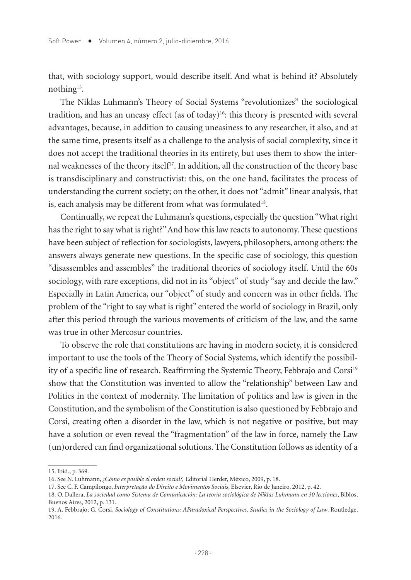that, with sociology support, would describe itself. And what is behind it? Absolutely nothing15.

The Niklas Luhmann's Theory of Social Systems "revolutionizes" the sociological tradition, and has an uneasy effect (as of today)<sup>16</sup>: this theory is presented with several advantages, because, in addition to causing uneasiness to any researcher, it also, and at the same time, presents itself as a challenge to the analysis of social complexity, since it does not accept the traditional theories in its entirety, but uses them to show the internal weaknesses of the theory itself<sup>17</sup>. In addition, all the construction of the theory base is transdisciplinary and constructivist: this, on the one hand, facilitates the process of understanding the current society; on the other, it does not "admit" linear analysis, that is, each analysis may be different from what was formulated<sup>18</sup>.

Continually, we repeat the Luhmann's questions, especially the question "What right has the right to say what is right?" And how this law reacts to autonomy. These questions have been subject of reflection for sociologists, lawyers, philosophers, among others: the answers always generate new questions. In the specific case of sociology, this question "disassembles and assembles" the traditional theories of sociology itself. Until the 60s sociology, with rare exceptions, did not in its "object" of study "say and decide the law." Especially in Latin America, our "object" of study and concern was in other fields. The problem of the "right to say what is right" entered the world of sociology in Brazil, only after this period through the various movements of criticism of the law, and the same was true in other Mercosur countries.

To observe the role that constitutions are having in modern society, it is considered important to use the tools of the Theory of Social Systems, which identify the possibility of a specific line of research. Reaffirming the Systemic Theory, Febbrajo and Corsi<sup>19</sup> show that the Constitution was invented to allow the "relationship" between Law and Politics in the context of modernity. The limitation of politics and law is given in the Constitution, and the symbolism of the Constitution is also questioned by Febbrajo and Corsi, creating often a disorder in the law, which is not negative or positive, but may have a solution or even reveal the "fragmentation" of the law in force, namely the Law (un)ordered can find organizational solutions. The Constitution follows as identity of a

<sup>15.</sup> Ibid., p. 369.

<sup>16.</sup> See N. Luhmann, *¿Cómo es posible el orden social?,* Editorial Herder, México, 2009, p. 18.

<sup>17.</sup> See C. F. Campilongo, *Interpretação do Direito e Movimentos Sociais*, Elsevier, Rio de Janeiro, 2012, p. 42.

<sup>18.</sup> O. Dallera, *La sociedad como Sistema de Comunicación: La teoría sociológica de Niklas Luhmann en 30 lecciones*, Biblos, Buenos Aires, 2012, p. 131.

<sup>19.</sup> A. Febbrajo; G. Corsi, *Sociology of Constitutions: AParadoxical Perspectives*. *Studies in the Sociology of Law*, Routledge, 2016.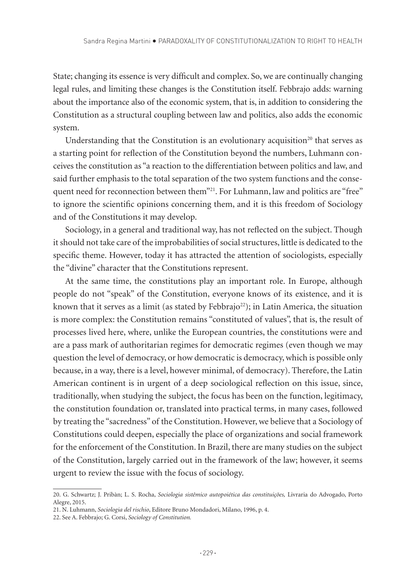State; changing its essence is very difficult and complex. So, we are continually changing legal rules, and limiting these changes is the Constitution itself. Febbrajo adds: warning about the importance also of the economic system, that is, in addition to considering the Constitution as a structural coupling between law and politics, also adds the economic system.

Understanding that the Constitution is an evolutionary acquisition<sup>20</sup> that serves as a starting point for reflection of the Constitution beyond the numbers, Luhmann conceives the constitution as "a reaction to the differentiation between politics and law, and said further emphasis to the total separation of the two system functions and the consequent need for reconnection between them"21. For Luhmann, law and politics are "free" to ignore the scientific opinions concerning them, and it is this freedom of Sociology and of the Constitutions it may develop.

Sociology, in a general and traditional way, has not reflected on the subject. Though it should not take care of the improbabilities of social structures, little is dedicated to the specific theme. However, today it has attracted the attention of sociologists, especially the "divine" character that the Constitutions represent.

At the same time, the constitutions play an important role. In Europe, although people do not "speak" of the Constitution, everyone knows of its existence, and it is known that it serves as a limit (as stated by Febbrajo<sup>22</sup>); in Latin America, the situation is more complex: the Constitution remains "constituted of values", that is, the result of processes lived here, where, unlike the European countries, the constitutions were and are a pass mark of authoritarian regimes for democratic regimes (even though we may question the level of democracy, or how democratic is democracy, which is possible only because, in a way, there is a level, however minimal, of democracy). Therefore, the Latin American continent is in urgent of a deep sociological reflection on this issue, since, traditionally, when studying the subject, the focus has been on the function, legitimacy, the constitution foundation or, translated into practical terms, in many cases, followed by treating the "sacredness" of the Constitution. However, we believe that a Sociology of Constitutions could deepen, especially the place of organizations and social framework for the enforcement of the Constitution. In Brazil, there are many studies on the subject of the Constitution, largely carried out in the framework of the law; however, it seems urgent to review the issue with the focus of sociology.

<sup>20.</sup> G. Schwartz; J. Pribàn; L. S. Rocha, *Sociologia sistêmico autopoiética das constituições,* Livraria do Advogado, Porto Alegre, 2015.

<sup>21.</sup> N. Luhmann, *Sociologia del rischio*, Editore Bruno Mondadori, Milano, 1996, p. 4.

<sup>22.</sup> See A. Febbrajo; G. Corsi, *Sociology of Constitution.*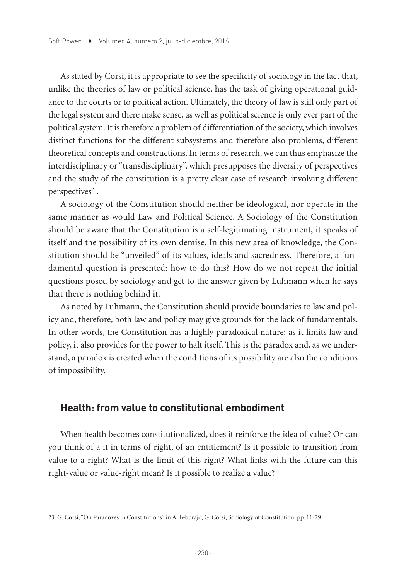As stated by Corsi, it is appropriate to see the specificity of sociology in the fact that, unlike the theories of law or political science, has the task of giving operational guidance to the courts or to political action. Ultimately, the theory of law is still only part of the legal system and there make sense, as well as political science is only ever part of the political system. It is therefore a problem of differentiation of the society, which involves distinct functions for the different subsystems and therefore also problems, different theoretical concepts and constructions. In terms of research, we can thus emphasize the interdisciplinary or "transdisciplinary", which presupposes the diversity of perspectives and the study of the constitution is a pretty clear case of research involving different perspectives<sup>23</sup>.

A sociology of the Constitution should neither be ideological, nor operate in the same manner as would Law and Political Science. A Sociology of the Constitution should be aware that the Constitution is a self-legitimating instrument, it speaks of itself and the possibility of its own demise. In this new area of knowledge, the Constitution should be "unveiled" of its values, ideals and sacredness. Therefore, a fundamental question is presented: how to do this? How do we not repeat the initial questions posed by sociology and get to the answer given by Luhmann when he says that there is nothing behind it.

As noted by Luhmann, the Constitution should provide boundaries to law and policy and, therefore, both law and policy may give grounds for the lack of fundamentals. In other words, the Constitution has a highly paradoxical nature: as it limits law and policy, it also provides for the power to halt itself. This is the paradox and, as we understand, a paradox is created when the conditions of its possibility are also the conditions of impossibility.

# **Health: from value to constitutional embodiment**

When health becomes constitutionalized, does it reinforce the idea of value? Or can you think of a it in terms of right, of an entitlement? Is it possible to transition from value to a right? What is the limit of this right? What links with the future can this right-value or value-right mean? Is it possible to realize a value?

<sup>23.</sup> G. Corsi, "On Paradoxes in Constitutions" in A. Febbrajo, G. Corsi, Sociology of Constitution, pp. 11-29.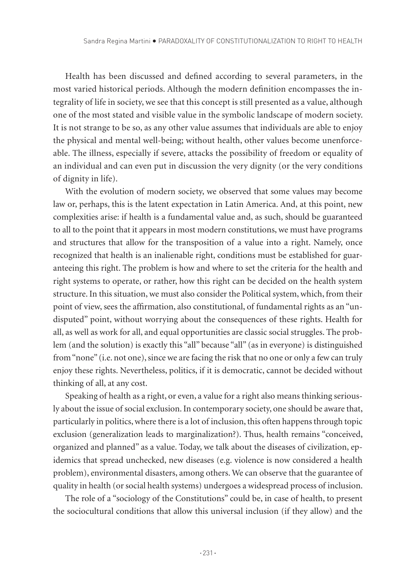Health has been discussed and defined according to several parameters, in the most varied historical periods. Although the modern definition encompasses the integrality of life in society, we see that this concept is still presented as a value, although one of the most stated and visible value in the symbolic landscape of modern society. It is not strange to be so, as any other value assumes that individuals are able to enjoy the physical and mental well-being; without health, other values become unenforceable. The illness, especially if severe, attacks the possibility of freedom or equality of an individual and can even put in discussion the very dignity (or the very conditions of dignity in life).

With the evolution of modern society, we observed that some values may become law or, perhaps, this is the latent expectation in Latin America. And, at this point, new complexities arise: if health is a fundamental value and, as such, should be guaranteed to all to the point that it appears in most modern constitutions, we must have programs and structures that allow for the transposition of a value into a right. Namely, once recognized that health is an inalienable right, conditions must be established for guaranteeing this right. The problem is how and where to set the criteria for the health and right systems to operate, or rather, how this right can be decided on the health system structure. In this situation, we must also consider the Political system, which, from their point of view, sees the affirmation, also constitutional, of fundamental rights as an "undisputed" point, without worrying about the consequences of these rights. Health for all, as well as work for all, and equal opportunities are classic social struggles. The problem (and the solution) is exactly this "all" because "all" (as in everyone) is distinguished from "none" (i.e. not one), since we are facing the risk that no one or only a few can truly enjoy these rights. Nevertheless, politics, if it is democratic, cannot be decided without thinking of all, at any cost.

Speaking of health as a right, or even, a value for a right also means thinking seriously about the issue of social exclusion. In contemporary society, one should be aware that, particularly in politics, where there is a lot of inclusion, this often happens through topic exclusion (generalization leads to marginalization?). Thus, health remains "conceived, organized and planned" as a value. Today, we talk about the diseases of civilization, epidemics that spread unchecked, new diseases (e.g. violence is now considered a health problem), environmental disasters, among others. We can observe that the guarantee of quality in health (or social health systems) undergoes a widespread process of inclusion.

The role of a "sociology of the Constitutions" could be, in case of health, to present the sociocultural conditions that allow this universal inclusion (if they allow) and the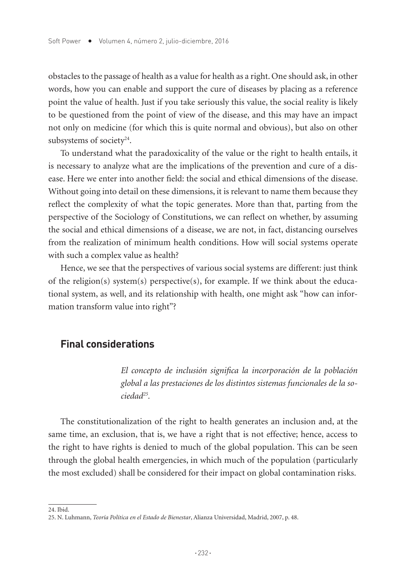obstacles to the passage of health as a value for health as a right. One should ask, in other words, how you can enable and support the cure of diseases by placing as a reference point the value of health. Just if you take seriously this value, the social reality is likely to be questioned from the point of view of the disease, and this may have an impact not only on medicine (for which this is quite normal and obvious), but also on other subsystems of society $24$ .

To understand what the paradoxicality of the value or the right to health entails, it is necessary to analyze what are the implications of the prevention and cure of a disease. Here we enter into another field: the social and ethical dimensions of the disease. Without going into detail on these dimensions, it is relevant to name them because they reflect the complexity of what the topic generates. More than that, parting from the perspective of the Sociology of Constitutions, we can reflect on whether, by assuming the social and ethical dimensions of a disease, we are not, in fact, distancing ourselves from the realization of minimum health conditions. How will social systems operate with such a complex value as health?

Hence, we see that the perspectives of various social systems are different: just think of the religion(s) system(s) perspective(s), for example. If we think about the educational system, as well, and its relationship with health, one might ask "how can information transform value into right"?

## **Final considerations**

*El concepto de inclusión significa la incorporación de la población global a las prestaciones de los distintos sistemas funcionales de la sociedad25.* 

The constitutionalization of the right to health generates an inclusion and, at the same time, an exclusion, that is, we have a right that is not effective; hence, access to the right to have rights is denied to much of the global population. This can be seen through the global health emergencies, in which much of the population (particularly the most excluded) shall be considered for their impact on global contamination risks.

<sup>24.</sup> Ibid.

<sup>25.</sup> N. Luhmann, *Teoría Política en el Estado de Bienestar*, Alianza Universidad, Madrid, 2007, p. 48.